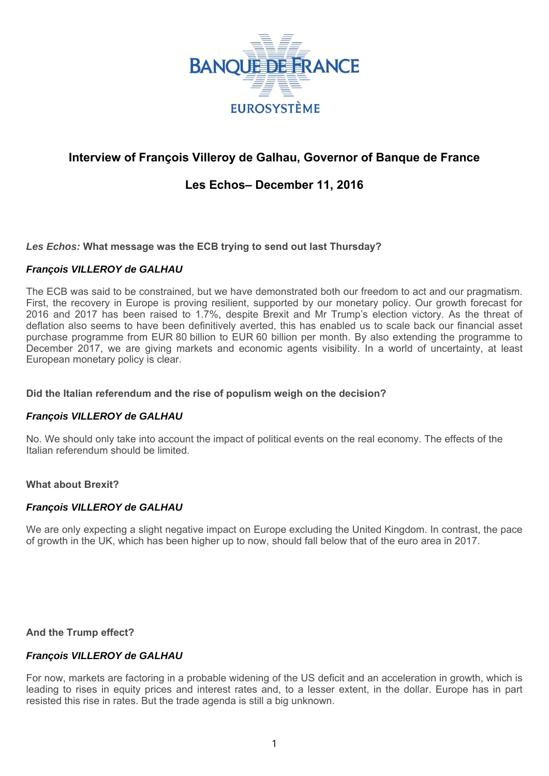

# **Interview of François Villeroy de Galhau, Governor of Banque de France**

# **Les Echos– December 11, 2016**

*Les Echos:* **What message was the ECB trying to send out last Thursday?**

## *François VILLEROY de GALHAU*

The ECB was said to be constrained, but we have demonstrated both our freedom to act and our pragmatism. First, the recovery in Europe is proving resilient, supported by our monetary policy. Our growth forecast for 2016 and 2017 has been raised to 1.7%, despite Brexit and Mr Trump's election victory. As the threat of deflation also seems to have been definitively averted, this has enabled us to scale back our financial asset purchase programme from EUR 80 billion to EUR 60 billion per month. By also extending the programme to December 2017, we are giving markets and economic agents visibility. In a world of uncertainty, at least European monetary policy is clear.

## **Did the Italian referendum and the rise of populism weigh on the decision?**

## *François VILLEROY de GALHAU*

No. We should only take into account the impact of political events on the real economy. The effects of the Italian referendum should be limited.

#### **What about Brexit?**

## *François VILLEROY de GALHAU*

We are only expecting a slight negative impact on Europe excluding the United Kingdom. In contrast, the pace of growth in the UK, which has been higher up to now, should fall below that of the euro area in 2017.

**And the Trump effect?**

## *François VILLEROY de GALHAU*

For now, markets are factoring in a probable widening of the US deficit and an acceleration in growth, which is leading to rises in equity prices and interest rates and, to a lesser extent, in the dollar. Europe has in part resisted this rise in rates. But the trade agenda is still a big unknown.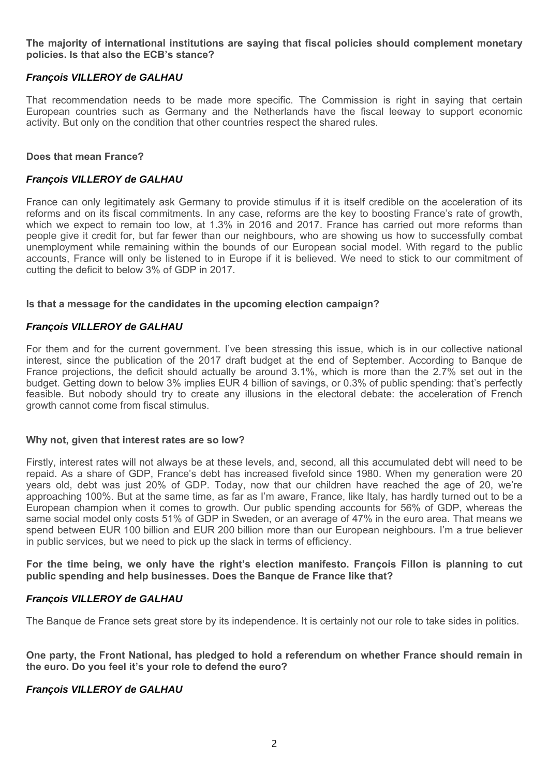## **The majority of international institutions are saying that fiscal policies should complement monetary policies. Is that also the ECB's stance?**

# *François VILLEROY de GALHAU*

That recommendation needs to be made more specific. The Commission is right in saying that certain European countries such as Germany and the Netherlands have the fiscal leeway to support economic activity. But only on the condition that other countries respect the shared rules.

## **Does that mean France?**

### *François VILLEROY de GALHAU*

France can only legitimately ask Germany to provide stimulus if it is itself credible on the acceleration of its reforms and on its fiscal commitments. In any case, reforms are the key to boosting France's rate of growth, which we expect to remain too low, at 1.3% in 2016 and 2017. France has carried out more reforms than people give it credit for, but far fewer than our neighbours, who are showing us how to successfully combat unemployment while remaining within the bounds of our European social model. With regard to the public accounts, France will only be listened to in Europe if it is believed. We need to stick to our commitment of cutting the deficit to below 3% of GDP in 2017.

### **Is that a message for the candidates in the upcoming election campaign?**

## *François VILLEROY de GALHAU*

For them and for the current government. I've been stressing this issue, which is in our collective national interest, since the publication of the 2017 draft budget at the end of September. According to Banque de France projections, the deficit should actually be around 3.1%, which is more than the 2.7% set out in the budget. Getting down to below 3% implies EUR 4 billion of savings, or 0.3% of public spending: that's perfectly feasible. But nobody should try to create any illusions in the electoral debate: the acceleration of French growth cannot come from fiscal stimulus.

#### **Why not, given that interest rates are so low?**

Firstly, interest rates will not always be at these levels, and, second, all this accumulated debt will need to be repaid. As a share of GDP, France's debt has increased fivefold since 1980. When my generation were 20 years old, debt was just 20% of GDP. Today, now that our children have reached the age of 20, we're approaching 100%. But at the same time, as far as I'm aware, France, like Italy, has hardly turned out to be a European champion when it comes to growth. Our public spending accounts for 56% of GDP, whereas the same social model only costs 51% of GDP in Sweden, or an average of 47% in the euro area. That means we spend between EUR 100 billion and EUR 200 billion more than our European neighbours. I'm a true believer in public services, but we need to pick up the slack in terms of efficiency.

**For the time being, we only have the right's election manifesto. François Fillon is planning to cut public spending and help businesses. Does the Banque de France like that?**

## *François VILLEROY de GALHAU*

The Banque de France sets great store by its independence. It is certainly not our role to take sides in politics.

**One party, the Front National, has pledged to hold a referendum on whether France should remain in the euro. Do you feel it's your role to defend the euro?**

## *François VILLEROY de GALHAU*